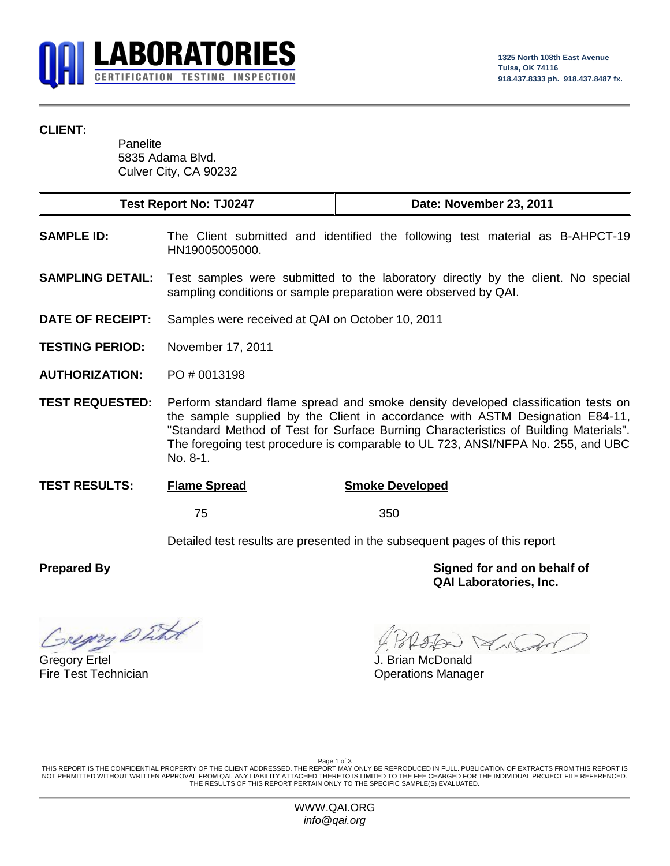

## **CLIENT:**

**Panelite** 5835 Adama Blvd. Culver City, CA 90232

| <b>Test Report No: TJ0247</b> | Date: November 23, 2011 |
|-------------------------------|-------------------------|
|-------------------------------|-------------------------|

- **SAMPLE ID:** The Client submitted and identified the following test material as B-AHPCT-19 HN19005005000.
- **SAMPLING DETAIL:** Test samples were submitted to the laboratory directly by the client. No special sampling conditions or sample preparation were observed by QAI.
- **DATE OF RECEIPT:** Samples were received at QAI on October 10, 2011
- **TESTING PERIOD:** November 17, 2011
- **AUTHORIZATION:** PO # 0013198
- **TEST REQUESTED:** Perform standard flame spread and smoke density developed classification tests on the sample supplied by the Client in accordance with ASTM Designation E84-11, "Standard Method of Test for Surface Burning Characteristics of Building Materials". The foregoing test procedure is comparable to UL 723, ANSI/NFPA No. 255, and UBC No. 8-1.
- **TEST RESULTS: Flame Spread Smoke Developed**

75 350

Detailed test results are presented in the subsequent pages of this report

regny Sitt

Gregory Ertel **Gregory Ertel** Superintendent Controller Controller Controller Superintendent J. Brian McDonald

**Prepared By Signed for and on behalf of QAI Laboratories, Inc.**

Fire Test Technician **Contract Contract Contract Contract Contract Contract Contract Contract Contract Contract Contract Contract Contract Contract Contract Contract Contract Contract Contract Contract Contract Contract Co** 

Page 1 of 3

THIS REPORT IS THE CONFIDENTIAL PROPERTY OF THE CLIENT ADDRESSED. THE REPORT MAY ONLY BE REPRODUCED IN FULL. PUBLICATION OF EXTRACTS FROM THIS REPORT IS NOT PERMITTED WITHOUT WRITTEN APPROVAL FROM QAI. ANY LIABILITY ATTACHED THERETO IS LIMITED TO THE FEE CHARGED FOR THE INDIVIDUAL PROJECT FILE REFERENCED. THE RESULTS OF THIS REPORT PERTAIN ONLY TO THE SPECIFIC SAMPLE(S) EVALUATED.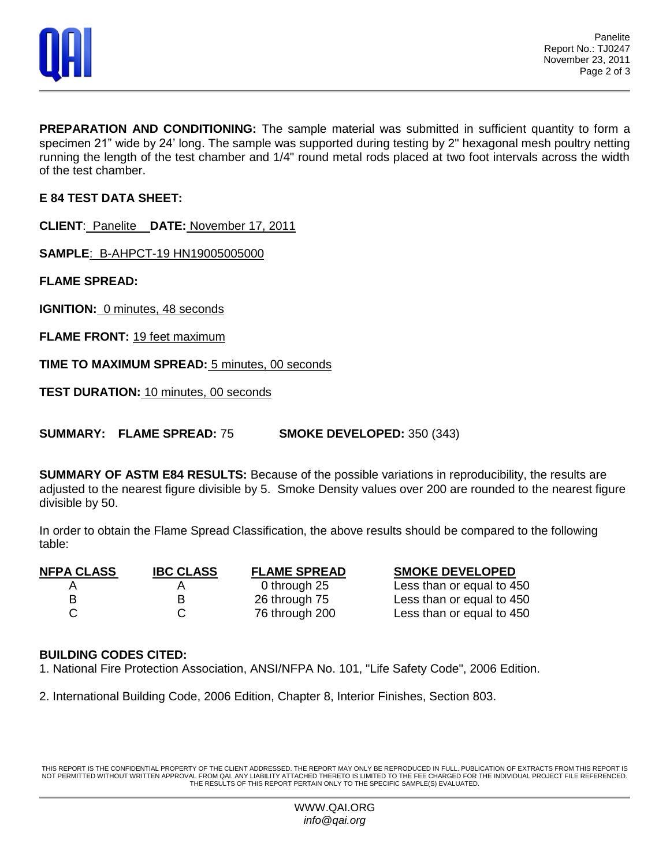

**PREPARATION AND CONDITIONING:** The sample material was submitted in sufficient quantity to form a specimen 21" wide by 24' long. The sample was supported during testing by 2" hexagonal mesh poultry netting running the length of the test chamber and 1/4" round metal rods placed at two foot intervals across the width of the test chamber.

**E 84 TEST DATA SHEET:**

**CLIENT**: Panelite **DATE:** November 17, 2011

**SAMPLE**: B-AHPCT-19 HN19005005000

**FLAME SPREAD:**

**IGNITION:** 0 minutes, 48 seconds

**FLAME FRONT: 19 feet maximum** 

**TIME TO MAXIMUM SPREAD:** 5 minutes, 00 seconds

**TEST DURATION:** 10 minutes, 00 seconds

**SUMMARY: FLAME SPREAD:** 75 **SMOKE DEVELOPED:** 350 (343)

**SUMMARY OF ASTM E84 RESULTS:** Because of the possible variations in reproducibility, the results are adjusted to the nearest figure divisible by 5. Smoke Density values over 200 are rounded to the nearest figure divisible by 50.

In order to obtain the Flame Spread Classification, the above results should be compared to the following table:

| <b>NFPA CLASS</b> | <b>IBC CLASS</b> | <b>FLAME SPREAD</b> | <b>SMOKE DEVELOPED</b>    |
|-------------------|------------------|---------------------|---------------------------|
|                   |                  | 0 through 25        | Less than or equal to 450 |
| в                 | R                | 26 through 75       | Less than or equal to 450 |
|                   |                  | 76 through 200      | Less than or equal to 450 |

## **BUILDING CODES CITED:**

1. National Fire Protection Association, ANSI/NFPA No. 101, "Life Safety Code", 2006 Edition.

2. International Building Code, 2006 Edition, Chapter 8, Interior Finishes, Section 803.

THIS REPORT IS THE CONFIDENTIAL PROPERTY OF THE CLIENT ADDRESSED. THE REPORT MAY ONLY BE REPRODUCED IN FULL. PUBLICATION OF EXTRACTS FROM THIS REPORT IS NOT PERMITTED WITHOUT WRITTEN APPROVAL FROM QAI. ANY LIABILITY ATTACHED THERETO IS LIMITED TO THE FEE CHARGED FOR THE INDIVIDUAL PROJECT FILE REFERENCED. THE RESULTS OF THIS REPORT PERTAIN ONLY TO THE SPECIFIC SAMPLE(S) EVALUATED.